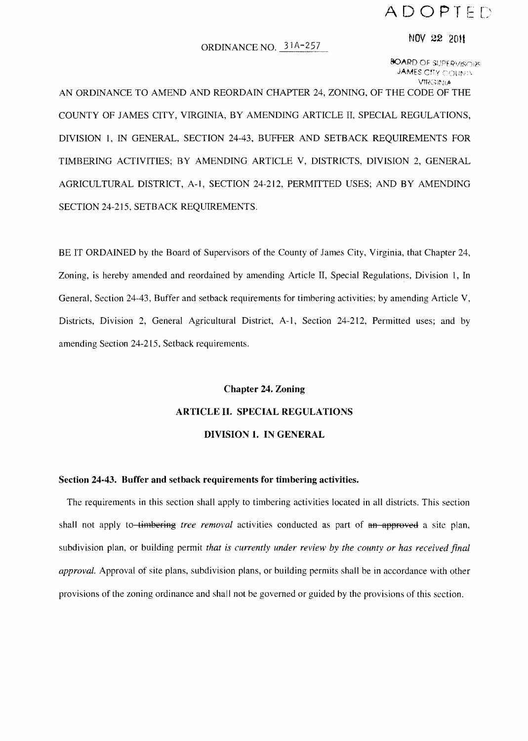## **ADOPTED**

#### ORDINANCE NO. 31A-257

#### NOV 22 <sup>2011</sup>

80ARD OF SUPERVISORS **JAMES CITY COLININ VIRGINIA** 

AN ORDINANCE TO AMEND AND REORDAIN CHAPTER 24, ZONING, OF THE CODE OF THE COUNTY OF JAMES CITY, VIRGINIA, BY AMENDING ARTICLE II, SPECIAL REGULATIONS, DIVISION I, IN GENERAL, SECTION 24-43, BUFFER AND SETBACK REQUIREMENTS FOR TIMBERING ACTIVITIES; BY AMENDING ARTICLE V, DISTRICTS, DIVISION 2, GENERAL AGRICULTURAL DISTRICT, A-I, SECTION 24-212, PERMITTED USES; AND BY AMENDING SECTION 24-215, SETBACK REQUIREMENTS.

BE IT ORDAINED by the Board of Supervisors of the County of James City, Virginia, that Chapter 24, Zoning, is hereby amended and reordained by amending Article II, Special Regulations, Division 1, In General, Section 24-43, Buffer and setback requirements for timbering activities; by amending Article V, Districts, Division 2, General Agricultural District, A-I, Section 24-212, Permitted uses; and by amending Section 24-215, Setback requirements.

# Chapter 24. Zoning ARTICLE II. SPECIAL REGULATIONS DIVISION 1. IN GENERAL

#### Section 24·43. Buffer and setback requirements for timbering activities.

The requirements in this section shall apply to timbering activities located in all districts. This section shall not apply to-timbering *tree removal* activities conducted as part of an approved a site plan, subdivision plan, or building permit *that is currently under review by the county or has received final approval.* Approval of site plans, subdivision plans, or building permits shall be in accordance with other provisions of the zoning ordinance and shall not be governed or guided by the provisions of this section.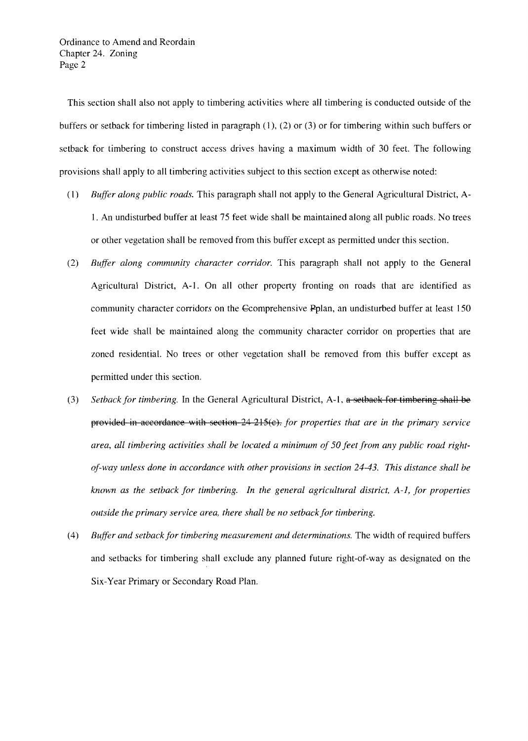Ordinance to Amend and Reordain Chapter 24. Zoning Page 2

This section shall also not apply to timbering activities where all timbering is conducted outside of the buffers or setback for timbering listed in paragraph (1), (2) or (3) or for timbering within such buffers or setback for timbering to construct access drives having a maximum width of 30 feet. The following provisions shall apply to all timbering activities subject to this section except as otherwise noted:

- (1) *Buffer along public roads.* This paragraph shall not apply to the General Agricultural District, A-1. An undisturbed buffer at least 75 feet wide shall be maintained along all public roads. No trees or other vegetation shall be removed from this buffer except as permitted under this section.
- *(2) Buffer along community character corridor.* This paragraph shall not apply to the General Agricultural District, A-I. On all other property fronting on roads that are identified as community character corridors on the Gcomprehensive Pplan, an undisturbed buffer at least 150 feet wide shall be maintained along the community character corridor on properties that are zoned residential. No trees or other vegetation shall be removed from this buffer except as permitted under this section.
- *(3) Setback for timbering.* In the General Agricultural District, A-I, a setback for timbering shall be provided in accordance with section 24 215(e). *for properties that are in the primary service area, all timbering activities shall be located a minimum of 50 feet from any public road rightof-way unless done in accordance with other provisions in section* 24-43. *This distance shall be known as the setback for timbering. In the general agricultural district, A-I, for properties outside the primary service area, there shall be no setbackfor timbering.*
- *(4) Buffer and setback for timbering measurement and determinations.* The width of required buffers and setbacks for timbering shall exclude any planned future right-of-way as designated on the Six-Year Primary or Secondary Road Plan.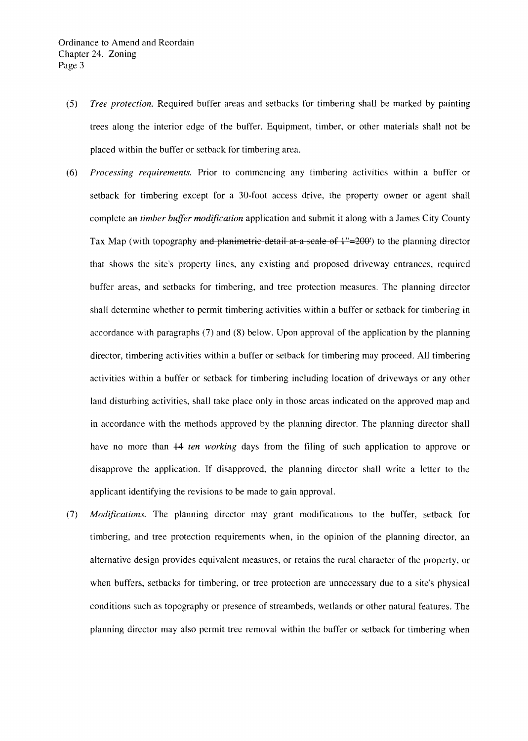- *(5) Tree protection.* Required buffer areas and setbacks for timbering shall be marked by painting trees along the interior edge of the buffer. Equipment, timber, or other materials shall not be placed within the buffer or setback for timbering area.
- *(6) Processing requirements.* Prior to commencing any timbering activities within a buffer or setback for timbering except for a 30-foot access drive, the property owner or agent shall complete aa *timber buffer modification* application and submit it along with a James City County Tax Map (with topography and planimetric detail at a scale of  $1"=200'$ ) to the planning director that shows the site's property lines, any existing and proposed driveway entrances, required buffer areas, and setbacks for timbering, and tree protection measures. The planning director shall determine whether to permit timbering activities within a buffer or setback for timbering in accordance with paragraphs (7) and (8) below. Upon approval of the application by the planning director, timbering activities within a buffer or setback for timbering may proceed. All timbering activities within a buffer or setback for timbering including location of driveways or any other land disturbing activities, shall take place only in those areas indicated on the approved map and in accordance with the methods approved by the planning director. The planning director shall have no more than 44 *ten working* days from the filing of such application to approve or disapprove the application. If disapproved, the planning director shall write a letter to the applicant identifying the revisions to be made to gain approval.
- (7) *Modifications.* The planning director may grant modifications to the buffer, setback for timbering, and tree protection requirements when, in the opinion of the planning director, an alternative design provides equivalent measures, or retains the rural character of the property, or when buffers, setbacks for timbering, or tree protection are unnecessary due to a site's physical conditions such as topography or presence of streambeds, wetlands or other natural features. The planning director may also permit tree removal within the buffer or setback for timbering when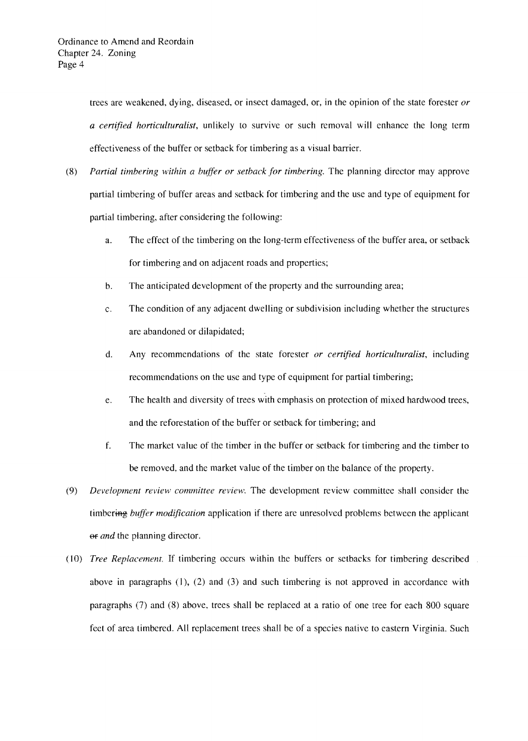trees are weakened, dying, diseased, or insect damaged, or, in the opinion of the state forester *or a certified horticulturalist,* unlikely to survive or such removal will enhance the long term effectiveness of the buffer or setback for timbering as a visual barrier.

- (8) *Partial timbering within a buffer or setback for timbering.* The planning director may approve partial timbering of buffer areas and setback for timbering and the use and type of equipment for partial timbering, after considering the following:
	- a. The effect of the timbering on the long-term effectiveness of the buffer area, or setback for timbering and on adjacent roads and properties;
	- b. The anticipated development of the property and the surrounding area;
	- e. The condition of any adjacent dwelling or subdivision including whether the structures are abandoned or dilapidated;
	- d. Any recommendations of the state forester *or certified horticulturalist,* including recommendations on the use and type of equipment for partial timbering;
	- e. The health and diversity of trees with emphasis on protection of mixed hardwood trees, and the reforestation of the buffer or setback for timbering; and
	- f. The market value of the timber in the buffer or setback for timbering and the timber to be removed, and the market value of the timber on the balance of the property.
- *(9) Development review committee review.* The development review committee shall consider the timbering *buffer modification* application if there are unresolved problems between the applicant  $\Theta$ *e and* the planning director.
- *(10) Tree Replacement.* If timbering occurs within the buffers or setbacks for timbering described above in paragraphs (I), (2) and (3) and such timbering is not approved in accordance with paragraphs (7) and (8) above, trecs shall be replaced at a ratio of one tree for each 800 square feet of area timbered. All replacement trees shall be of a species native to eastern Virginia. Such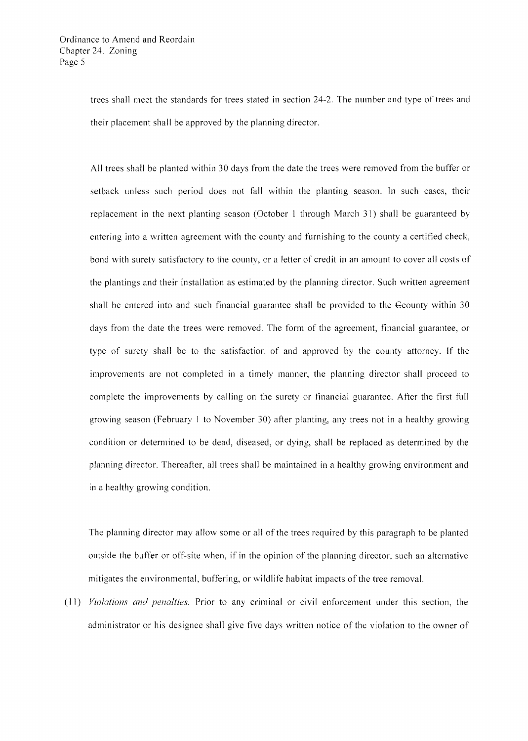trees shall meet the standards for trees stated in section 24-2. The number and type of trees and their placement shall be approved by the planning director.

All trees shall be planted within 30 days from the date the trees were removed from the buffer or setback unless such period does not fall within the planting season. In such cases, their replacement in the next planting season (October 1 through March 3 I) shall be guaranteed by entering into a written agreement with the county and furnishing to the county a certified check, bond with surety satisfactory to the county, or a letter of credit in an amount to cover all costs of the plantings and their installation as estimated by the planning director. Such written agreement shall be entered into and such financial guarantee shall be provided to the Geounty within 30 days from the date the trees were removed. The form of the agreement, financial guarantee, or type of surety shall be to the satisfaction of and approved by the county attorney. If the improvements are not completed in a timely manner, the planning director shall proceed to complete the improvements by calling on the surety or financial guarantee. After the first full growing season (February I to November 30) after planting, any trees not in a healthy growing condition or determined to be dead, diseased, or dying, shall be replaced as determined by the planning director. Thereafter, all trees shall be maintained in a healthy growing environment and in a healthy growing condition.

The planning director may allow some or all of the trees required by this paragraph to be planted outside the buffer or off-site when, if in the opinion of the planning director, such an alternative mitigates the environmental, buffering, or wildlife habitat impacts of the tree removal.

(11) *Violations and penalties.* Prior to any criminal or civil enforcement under this section, the administrator or his designee shall give five days written notice of the violation to the owner of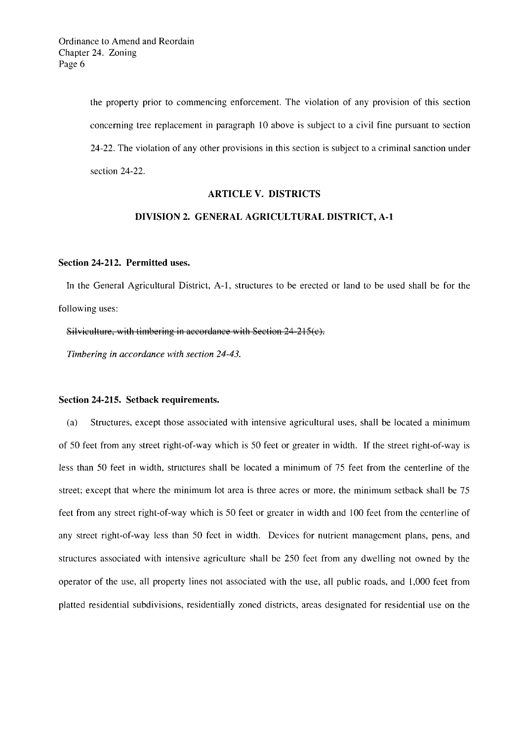the property prior to commencing enforcement. The violation of any provision of this section concerning tree replacement in paragraph 10 above is subject to a civil fine pursuant to section 24-22. The violation of any other provisions in this section is subject to a criminal sanction under section 24-22.

#### ARTICLE V. DISTRICTS

### DIVISION 2. GENERAL AGRICULTURAL DISTRICT, A-I

#### Section 24-212. Permitted uses.

In the General Agricultural District, A-I, structures to be erected or land to be used shall be for the following uses:

Silviculture, with timbering in accordance with Section 24-215(e).

*Timbering in accordance with section 24-43.* 

#### Section 24-215. Setback requirements.

(a) Structures, except those associated with intensive agricultural uses, shall be located a minimum of 50 feet from any street right-of-way which is 50 feet or greater in width. If the street right-of-way is less than 50 feet in width, structures shall be located a minimum of 75 feet from the centerline of the street; except that where the minimum lot area is three acres or more, the minimum setback shall be 75 feet from any street right-of-way which is 50 feet or greater in width and 100 feet from the centerline of any street right-of-way less than 50 feet in width. Devices for nutrient management plans, pens, and structures associated with intensive agriculture shall be 250 feet from any dwelling not owned by the operator of the use, all property lines not associated with the use, all public roads, and 1,000 feet from platted residential subdivisions, residentially zoned districts, areas designated for residential use on the